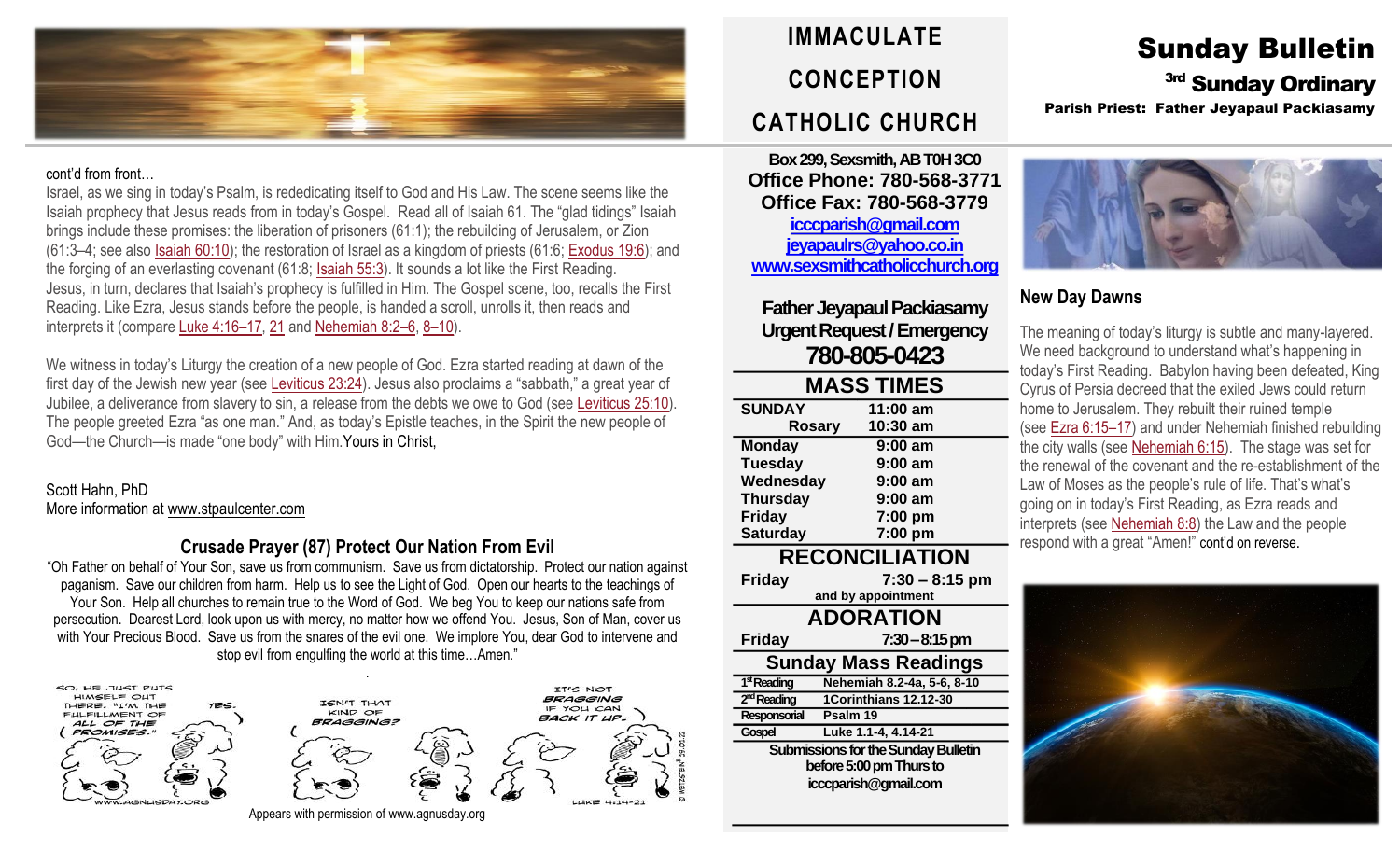

#### cont'd from front…

Israel, as we sing in today's Psalm, is rededicating itself to God and His Law. The scene seems like the Isaiah prophecy that Jesus reads from in today's Gospel. Read all of Isaiah 61. The "glad tidings" Isaiah brings include these promises: the liberation of prisoners (61:1); the rebuilding of Jerusalem, or Zion (61:3–4; see also Isaiah [60:10\)](https://biblia.com/bible/rsvce/Isa%2060.10); the restoration of Israel as a kingdom of priests (61:6; [Exodus](https://biblia.com/bible/rsvce/Exod%2019.6) 19:6); and the forging of an everlasting covenant (61:8; [Isaiah](https://biblia.com/bible/rsvce/Isa%2055.3) 55:3). It sounds a lot like the First Reading. Jesus, in turn, declares that Isaiah's prophecy is fulfilled in Him. The Gospel scene, too, recalls the First Reading. Like Ezra, Jesus stands before the people, is handed a scroll, unrolls it, then reads and interprets it (compare [Luke](https://biblia.com/bible/rsvce/Luke%204.16%E2%80%9317) 4:16–17, [21](https://biblia.com/bible/rsvce/Luke%204.21) and [Nehemiah](https://biblia.com/bible/rsvce/Neh%208.2%E2%80%936) 8:2–6, 8–[10\)](https://biblia.com/bible/rsvce/Nehemiah%208.8%E2%80%9310).

We witness in today's Liturgy the creation of a new people of God. Ezra started reading at dawn of the first day of the Jewish new year (see [Leviticus](https://biblia.com/bible/rsvce/Lev%2023.24) 23:24). Jesus also proclaims a "sabbath," a great year of Jubilee, a deliverance from slavery to sin, a release from the debts we owe to God (see [Leviticus](https://biblia.com/bible/rsvce/Lev%2025.10) 25:10). The people greeted Ezra "as one man." And, as today's Epistle teaches, in the Spirit the new people of God—the Church—is made "one body" with Him.Yours in Christ,

#### Scott Hahn, PhD More information a[t www.stpaulcenter.com](http://www.stpaulcenter.com/)

### **Crusade Prayer (87) Protect Our Nation From Evil**

"Oh Father on behalf of Your Son, save us from communism. Save us from dictatorship. Protect our nation against paganism. Save our children from harm. Help us to see the Light of God. Open our hearts to the teachings of Your Son. Help all churches to remain true to the Word of God. We beg You to keep our nations safe from persecution. Dearest Lord, look upon us with mercy, no matter how we offend You. Jesus, Son of Man, cover us with Your Precious Blood. Save us from the snares of the evil one. We implore You, dear God to intervene and stop evil from engulfing the world at this time…Amen."



**IMMACULATE CONCEPTION CATHOLIC CHURCH**

**Box 299, Sexsmith, AB T0H 3C0 Office Phone: 780-568-3771 Office Fax: 780-568-3779 [icccparish@gmail.com](mailto:icccparish@gmail.com) [jeyapaulrs@yahoo.co.in](mailto:jeyapaulrs@yahoo.co.in) [www.sexsmithcatholicchurch.org](http://www.sexsmithcatholicchurch.org/)**

**Father Jeyapaul Packiasamy Urgent Request/Emergency 780-805-0423**

| <b>MASS TIMES</b>                          |                            |  |  |  |  |
|--------------------------------------------|----------------------------|--|--|--|--|
| <b>SUNDAY</b>                              | 11:00 am                   |  |  |  |  |
|                                            | 10:30 am<br>Rosary         |  |  |  |  |
| <b>Monday</b>                              | 9:00 am                    |  |  |  |  |
| <b>Tuesday</b>                             | 9:00 am                    |  |  |  |  |
| Wednesday                                  | 9:00 am                    |  |  |  |  |
| <b>Thursday</b>                            | 9:00 am                    |  |  |  |  |
| Friday                                     | 7:00 pm                    |  |  |  |  |
| <b>Saturday</b>                            | 7:00 pm                    |  |  |  |  |
| <b>RECONCILIATION</b>                      |                            |  |  |  |  |
| <b>Friday</b>                              | $7:30 - 8:15$ pm           |  |  |  |  |
| and by appointment                         |                            |  |  |  |  |
| <b>ADORATION</b>                           |                            |  |  |  |  |
| Friday                                     | $7:30-8:15 \text{ pm}$     |  |  |  |  |
| <b>Sunday Mass Readings</b>                |                            |  |  |  |  |
| 1 <sup>st</sup> Reading                    | Nehemiah 8.2-4a, 5-6, 8-10 |  |  |  |  |
| 2 <sup>nd</sup> Reading                    | 1Corinthians 12.12-30      |  |  |  |  |
| Responsorial                               | Psalm 19                   |  |  |  |  |
| Gospel                                     | Luke 1.1-4, 4.14-21        |  |  |  |  |
| <b>Submissions for the Sunday Bulletin</b> |                            |  |  |  |  |
| before 5:00 pm Thurs to                    |                            |  |  |  |  |
| icccparish@gmail.com                       |                            |  |  |  |  |
|                                            |                            |  |  |  |  |

## Sunday Bulletin 3rd Sunday Ordinary Parish Priest: Father Jeyapaul Packiasamy



## **New Day Dawns**

The meaning of today's liturgy is subtle and many-layered. We need background to understand what's happening in today's First Reading. Babylon having been defeated, King Cyrus of Persia decreed that the exiled Jews could return home to Jerusalem. They rebuilt their ruined temple (see [Ezra](https://biblia.com/bible/rsvce/Ezra%206.15%E2%80%9317) 6:15–17) and under Nehemiah finished rebuilding the city walls (see [Nehemiah](https://biblia.com/bible/rsvce/Neh%206.15) 6:15). The stage was set for the renewal of the covenant and the re-establishment of the Law of Moses as the people's rule of life. That's what's going on in today's First Reading, as Ezra reads and interprets (see [Nehemiah](https://biblia.com/bible/rsvce/Neh%208.8) 8:8) the Law and the people respond with a great "Amen!" cont'd on reverse.